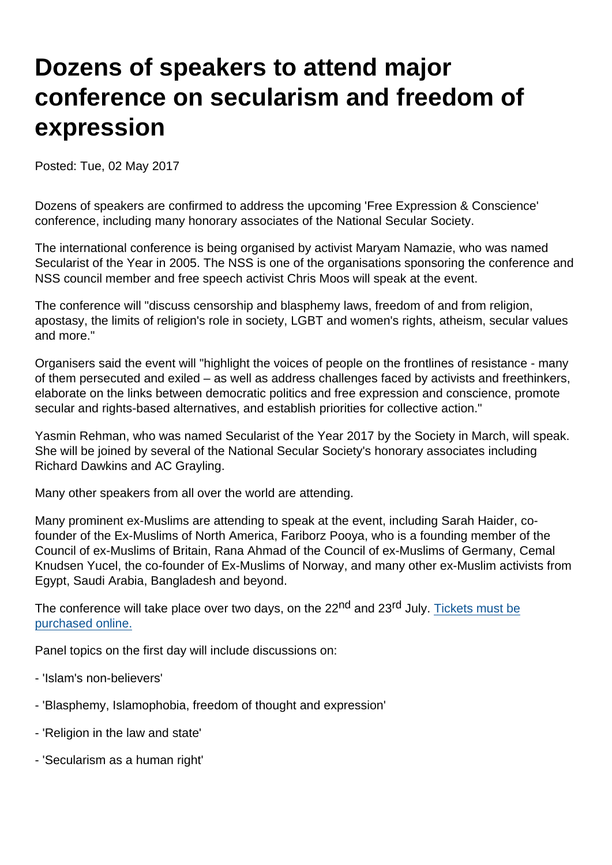## Dozens of speakers to attend major conference on secularism and freedom of expression

Posted: Tue, 02 May 2017

Dozens of speakers are confirmed to address the upcoming 'Free Expression & Conscience' conference, including many honorary associates of the National Secular Society.

The international conference is being organised by activist Maryam Namazie, who was named Secularist of the Year in 2005. The NSS is one of the organisations sponsoring the conference and NSS council member and free speech activist Chris Moos will speak at the event.

The conference will "discuss censorship and blasphemy laws, freedom of and from religion, apostasy, the limits of religion's role in society, LGBT and women's rights, atheism, secular values and more."

Organisers said the event will "highlight the voices of people on the frontlines of resistance - many of them persecuted and exiled – as well as address challenges faced by activists and freethinkers, elaborate on the links between democratic politics and free expression and conscience, promote secular and rights-based alternatives, and establish priorities for collective action."

Yasmin Rehman, who was named Secularist of the Year 2017 by the Society in March, will speak. She will be joined by several of the National Secular Society's honorary associates including Richard Dawkins and AC Grayling.

Many other speakers from all over the world are attending.

Many prominent ex-Muslims are attending to speak at the event, including Sarah Haider, cofounder of the Ex-Muslims of North America, Fariborz Pooya, who is a founding member of the Council of ex-Muslims of Britain, Rana Ahmad of the Council of ex-Muslims of Germany, Cemal Knudsen Yucel, the co-founder of Ex-Muslims of Norway, and many other ex-Muslim activists from Egypt, Saudi Arabia, Bangladesh and beyond.

The conference will take place over two days, on the 22<sup>nd</sup> and 23<sup>rd</sup> July. [Tickets must be](http://www.secularconference.com/get-tickets/) [purchased online.](http://www.secularconference.com/get-tickets/)

Panel topics on the first day will include discussions on:

- 'Islam's non-believers'
- 'Blasphemy, Islamophobia, freedom of thought and expression'
- 'Religion in the law and state'
- 'Secularism as a human right'